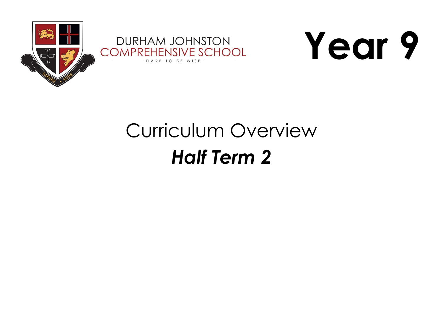



# Curriculum Overview *Half Term 2*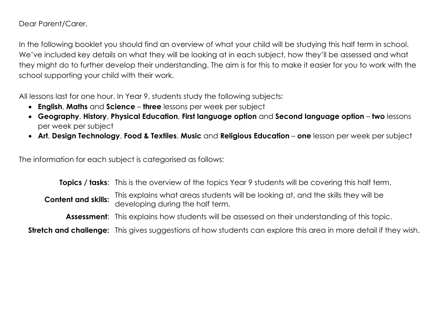Dear Parent/Carer,

In the following booklet you should find an overview of what your child will be studying this half term in school. We've included key details on what they will be looking at in each subject, how they'll be assessed and what they might do to further develop their understanding. The aim is for this to make it easier for you to work with the school supporting your child with their work.

All lessons last for one hour. In Year 9, students study the following subjects:

- **English**, **Maths** and **Science three** lessons per week per subject
- **Geography**, **History**, **Physical Education**, **First language option** and **Second language option two** lessons per week per subject
- **Art**, **Design Technology**, **Food & Textiles**, **Music** and **Religious Education one** lesson per week per subject

The information for each subject is categorised as follows:

**Topics / tasks**: This is the overview of the topics Year 9 students will be covering this half term. **Content and skills:** This explains what areas students will be looking at, and the skills they will be developing during the half term. Assessment: This explains how students will be assessed on their understanding of this topic. **Stretch and challenge:** This gives suggestions of how students can explore this area in more detail if they wish.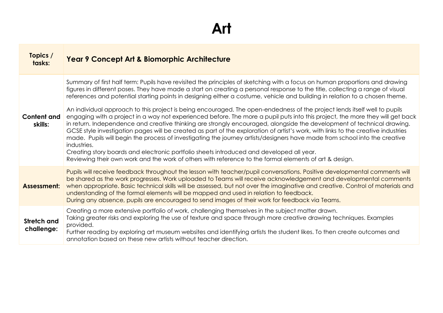#### **Art**

| Topics /<br>tasks:               | <b>Year 9 Concept Art &amp; Biomorphic Architecture</b>                                                                                                                                                                                                                                                                                                                                                                                                                                                                                                                                                                                                                                                                                                                                                                                                                                                                                                                                                                                                                                                                                                                                                                                                                     |
|----------------------------------|-----------------------------------------------------------------------------------------------------------------------------------------------------------------------------------------------------------------------------------------------------------------------------------------------------------------------------------------------------------------------------------------------------------------------------------------------------------------------------------------------------------------------------------------------------------------------------------------------------------------------------------------------------------------------------------------------------------------------------------------------------------------------------------------------------------------------------------------------------------------------------------------------------------------------------------------------------------------------------------------------------------------------------------------------------------------------------------------------------------------------------------------------------------------------------------------------------------------------------------------------------------------------------|
| <b>Content and</b><br>skills:    | Summary of first half term: Pupils have revisited the principles of sketching with a focus on human proportions and drawing<br>figures in different poses. They have made a start on creating a personal response to the title, collecting a range of visual<br>references and potential starting points in designing either a costume, vehicle and building in relation to a chosen theme.<br>An individual approach to this project is being encouraged. The open-endedness of the project lends itself well to pupils<br>engaging with a project in a way not experienced before. The more a pupil puts into this project, the more they will get back<br>in return. Independence and creative thinking are strongly encouraged, alongside the development of technical drawing.<br>GCSE style investigation pages will be created as part of the exploration of artist's work, with links to the creative industries<br>made. Pupils will begin the process of investigating the journey artists/designers have made from school into the creative<br>industries.<br>Creating story boards and electronic portfolio sheets introduced and developed all year.<br>Reviewing their own work and the work of others with reference to the formal elements of art & design. |
| Assessment:                      | Pupils will receive feedback throughout the lesson with teacher/pupil conversations. Positive developmental comments will<br>be shared as the work progresses. Work uploaded to Teams will receive acknowledgement and developmental comments<br>when appropriate. Basic technical skills will be assessed, but not over the imaginative and creative. Control of materials and<br>understanding of the formal elements will be mapped and used in relation to feedback.<br>During any absence, pupils are encouraged to send images of their work for feedback via Teams.                                                                                                                                                                                                                                                                                                                                                                                                                                                                                                                                                                                                                                                                                                  |
| <b>Stretch and</b><br>challenge: | Creating a more extensive portfolio of work, challenging themselves in the subject matter drawn.<br>Taking greater risks and exploring the use of texture and space through more creative drawing techniques. Examples<br>provided.<br>Further reading by exploring art museum websites and identifying artists the student likes. To then create outcomes and<br>annotation based on these new artists without teacher direction.                                                                                                                                                                                                                                                                                                                                                                                                                                                                                                                                                                                                                                                                                                                                                                                                                                          |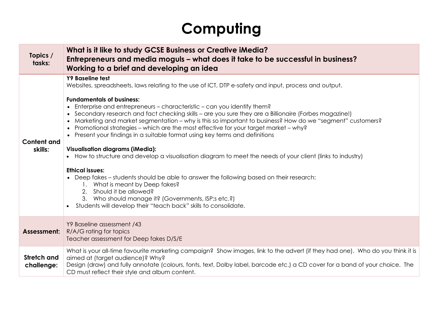# **Computing**

| Topics /<br>tasks:               | What is it like to study GCSE Business or Creative iMedia?<br>Entrepreneurs and media moguls – what does it take to be successful in business?<br>Working to a brief and developing an idea                                                                                                                                                                                                                                                                                                                                                                                                                                                                                                                                                                                                                                                                                                                                                                                                                                                                                                                                  |  |
|----------------------------------|------------------------------------------------------------------------------------------------------------------------------------------------------------------------------------------------------------------------------------------------------------------------------------------------------------------------------------------------------------------------------------------------------------------------------------------------------------------------------------------------------------------------------------------------------------------------------------------------------------------------------------------------------------------------------------------------------------------------------------------------------------------------------------------------------------------------------------------------------------------------------------------------------------------------------------------------------------------------------------------------------------------------------------------------------------------------------------------------------------------------------|--|
| <b>Content and</b><br>skills:    | Y9 Baseline test<br>Websites, spreadsheets, laws relating to the use of ICT, DTP e-safety and input, process and output.<br><b>Fundamentals of business:</b><br>• Enterprise and entrepreneurs – characteristic – can you identify them?<br>• Secondary research and fact checking skills - are you sure they are a Billionaire (Forbes magazine!)<br>Marketing and market segmentation - why is this so important to business? How do we "segment" customers?<br>$\bullet$<br>• Promotional strategies – which are the most effective for your target market – why?<br>• Present your findings in a suitable format using key terms and definitions<br><b>Visualisation diagrams (iMedia):</b><br>• How to structure and develop a visualisation diagram to meet the needs of your client (links to industry)<br><b>Ethical issues:</b><br>• Deep fakes – students should be able to answer the following based on their research:<br>1. What is meant by Deep fakes?<br>2. Should it be allowed?<br>3. Who should manage it? (Governments, ISP;s etc.?)<br>Students will develop their "teach back" skills to consolidate. |  |
| Assessment:                      | Y9 Baseline assessment /43<br>R/A/G rating for topics<br>Teacher assessment for Deep fakes D/S/E                                                                                                                                                                                                                                                                                                                                                                                                                                                                                                                                                                                                                                                                                                                                                                                                                                                                                                                                                                                                                             |  |
| <b>Stretch and</b><br>challenge: | What is your all-time favourite marketing campaign? Show images, link to the advert (if they had one). Who do you think it is<br>aimed at (target audience)? Why?<br>Design (draw) and fully annotate (colours, fonts, text, Dolby label, barcode etc.) a CD cover for a band of your choice. The<br>CD must reflect their style and album content.                                                                                                                                                                                                                                                                                                                                                                                                                                                                                                                                                                                                                                                                                                                                                                          |  |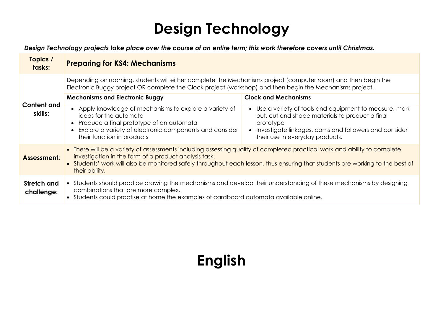# **Design Technology**

 *Design Technology projects take place over the course of an entire term; this work therefore covers until Christmas.*

| Topics /<br>tasks:            | <b>Preparing for KS4: Mechanisms</b>                                                                                                                                                                                                                                                                                                 |                                                                                                                                                                                                                       |
|-------------------------------|--------------------------------------------------------------------------------------------------------------------------------------------------------------------------------------------------------------------------------------------------------------------------------------------------------------------------------------|-----------------------------------------------------------------------------------------------------------------------------------------------------------------------------------------------------------------------|
| <b>Content and</b><br>skills: | Depending on rooming, students will either complete the Mechanisms project (computer room) and then begin the<br>Electronic Buggy project OR complete the Clock project (workshop) and then begin the Mechanisms project.                                                                                                            |                                                                                                                                                                                                                       |
|                               | <b>Mechanisms and Electronic Buggy</b>                                                                                                                                                                                                                                                                                               | <b>Clock and Mechanisms</b>                                                                                                                                                                                           |
|                               | • Apply knowledge of mechanisms to explore a variety of<br>ideas for the automata<br>• Produce a final prototype of an automata<br>Explore a variety of electronic components and consider<br>their function in products                                                                                                             | • Use a variety of tools and equipment to measure, mark<br>out, cut and shape materials to product a final<br>prototype<br>• Investigate linkages, cams and followers and consider<br>their use in everyday products. |
| Assessment:                   | • There will be a variety of assessments including assessing quality of completed practical work and ability to complete<br>investigation in the form of a product analysis task.<br>• Students' work will also be monitored safely throughout each lesson, thus ensuring that students are working to the best of<br>their ability. |                                                                                                                                                                                                                       |
| Stretch and<br>challenge:     | • Students should practice drawing the mechanisms and develop their understanding of these mechanisms by designing<br>combinations that are more complex.<br>Students could practise at home the examples of cardboard automata available online.                                                                                    |                                                                                                                                                                                                                       |

#### **English**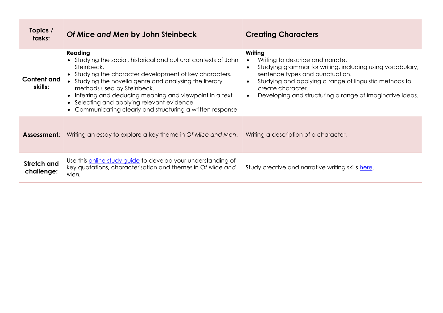| Topics /<br>tasks:               | Of Mice and Men by John Steinbeck                                                                                                                                                                                                                                                                                                                                                                                    | <b>Creating Characters</b>                                                                                                                                                                                                                                                                                                                 |
|----------------------------------|----------------------------------------------------------------------------------------------------------------------------------------------------------------------------------------------------------------------------------------------------------------------------------------------------------------------------------------------------------------------------------------------------------------------|--------------------------------------------------------------------------------------------------------------------------------------------------------------------------------------------------------------------------------------------------------------------------------------------------------------------------------------------|
| Content and<br>skills:           | Reading<br>• Studying the social, historical and cultural contexts of John<br>Steinbeck.<br>• Studying the character development of key characters.<br>• Studying the novella genre and analysing the literary<br>methods used by Steinbeck.<br>• Inferring and deducing meaning and viewpoint in a text<br>• Selecting and applying relevant evidence<br>• Communicating clearly and structuring a written response | Writing<br>Writing to describe and narrate.<br>$\bullet$<br>Studying grammar for writing, including using vocabulary,<br>$\bullet$<br>sentence types and punctuation.<br>Studying and applying a range of linguistic methods to<br>$\bullet$<br>create character.<br>Developing and structuring a range of imaginative ideas.<br>$\bullet$ |
| Assessment:                      | Writing an essay to explore a key theme in Of Mice and Men.                                                                                                                                                                                                                                                                                                                                                          | Writing a description of a character.                                                                                                                                                                                                                                                                                                      |
| <b>Stretch and</b><br>challenge: | Use this online study guide to develop your understanding of<br>key quotations, characterisation and themes in Of Mice and<br>Men.                                                                                                                                                                                                                                                                                   | Study creative and narrative writing skills here.                                                                                                                                                                                                                                                                                          |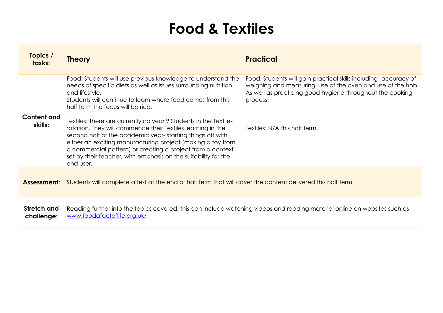#### **Food & Textiles**

| Topics /<br>tasks:            | <b>Theory</b>                                                                                                                                                                                                                                                                                                                                                                                                                                                                                                                                                                                                                                                    | <b>Practical</b>                                                                                                                                                                                                                          |
|-------------------------------|------------------------------------------------------------------------------------------------------------------------------------------------------------------------------------------------------------------------------------------------------------------------------------------------------------------------------------------------------------------------------------------------------------------------------------------------------------------------------------------------------------------------------------------------------------------------------------------------------------------------------------------------------------------|-------------------------------------------------------------------------------------------------------------------------------------------------------------------------------------------------------------------------------------------|
| <b>Content and</b><br>skills: | Food: Students will use previous knowledge to understand the<br>needs of specific diets as well as issues surrounding nutrition<br>and lifestyle.<br>Students will continue to learn where food comes from this<br>half term the focus will be rice.<br>Textiles: There are currently no year 9 Students in the Textiles<br>rotation. They will commence their Textiles learning in the<br>second half of the academic year-starting things off with<br>either an exciting manufacturing project (making a toy from<br>a commercial pattern) or creating a project from a context<br>set by their teacher, with emphasis on the suitability for the<br>end user. | Food: Students will gain practical skills including- accuracy of<br>weighing and measuring, use of the oven and use of the hob.<br>As well as practicing good hygiene throughout the cooking<br>process.<br>Textiles: N/A this half term. |
| <b>Assessment:</b>            | Students will complete a test at the end of half term that will cover the content delivered this half term.                                                                                                                                                                                                                                                                                                                                                                                                                                                                                                                                                      |                                                                                                                                                                                                                                           |
| Stretch and<br>challenge:     | Reading further into the topics covered, this can include watching videos and reading material online on websites such as<br>www.foodafactoflife.org.uk/                                                                                                                                                                                                                                                                                                                                                                                                                                                                                                         |                                                                                                                                                                                                                                           |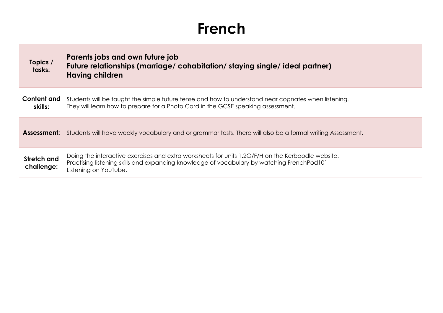#### **French**

| Topics /<br>tasks:        | Parents jobs and own future job<br>Future relationships (marriage/cohabitation/staying single/ideal partner)<br><b>Having children</b>                                                                                   |
|---------------------------|--------------------------------------------------------------------------------------------------------------------------------------------------------------------------------------------------------------------------|
| Content and<br>skills:    | Students will be taught the simple future tense and how to understand near cognates when listening.<br>They will learn how to prepare for a Photo Card in the GCSE speaking assessment.                                  |
|                           | <b>Assessment:</b> Students will have weekly vocabulary and or grammar tests. There will also be a formal writing Assessment.                                                                                            |
| Stretch and<br>challenge: | Doing the interactive exercises and extra worksheets for units 1.2G/F/H on the Kerboodle website.<br>Practising listening skills and expanding knowledge of vocabulary by watching FrenchPod101<br>Listening on YouTube. |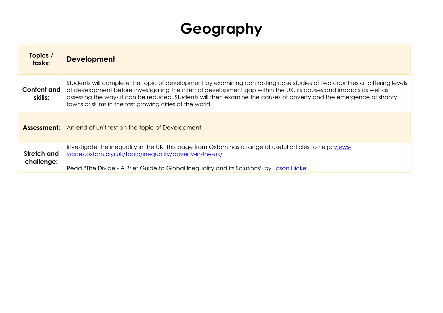# **Geography**

| Topics /<br>tasks:            | <b>Development</b>                                                                                                                                                                                                                                                                                                                                                                                                               |
|-------------------------------|----------------------------------------------------------------------------------------------------------------------------------------------------------------------------------------------------------------------------------------------------------------------------------------------------------------------------------------------------------------------------------------------------------------------------------|
| <b>Content and</b><br>skills: | Students will complete the topic of development by examining contrasting case studies of two countries at differing levels<br>of development before investigating the internal development gap within the UK, its causes and impacts as well as<br>assessing the ways it can be reduced. Students will then examine the causes of poverty and the emergence of shanty<br>towns or slums in the fast growing cities of the world. |
|                               | <b>Assessment:</b> An end of unit test on the topic of Development.                                                                                                                                                                                                                                                                                                                                                              |
| Stretch and<br>challenge:     | Investigate the inequality in the UK. This page from Oxfam has a range of useful articles to help: views-<br>voices.oxfam.org.uk/topic/inequality/poverty-in-the-uk/<br>Read "The Divide - A Brief Guide to Global Inequality and its Solutions" by Jason Hickel.                                                                                                                                                                |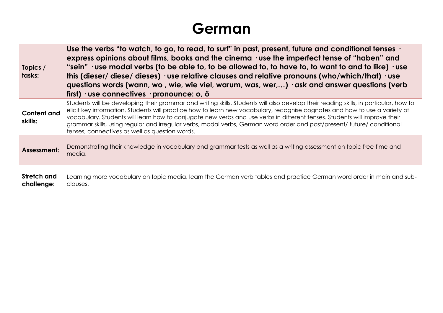#### **German**

| Topics /<br>tasks:            | Use the verbs "to watch, to go, to read, to surf" in past, present, future and conditional tenses $\cdot$<br>express opinions about films, books and the cinema $\cdot$ use the imperfect tense of "haben" and<br>"sein" $\cdot$ use modal verbs (to be able to, to be allowed to, to have to, to want to and to like) $\cdot$ use<br>this (dieser/diese/dieses) $\cdot$ use relative clauses and relative pronouns (who/which/that) $\cdot$ use<br>questions words (wann, wo, wie, wie viel, warum, was, wer,) ask and answer questions (verb<br>first) $\cdot$ use connectives $\cdot$ pronounce: o, ö |  |
|-------------------------------|----------------------------------------------------------------------------------------------------------------------------------------------------------------------------------------------------------------------------------------------------------------------------------------------------------------------------------------------------------------------------------------------------------------------------------------------------------------------------------------------------------------------------------------------------------------------------------------------------------|--|
| <b>Content and</b><br>skills: | Students will be developing their grammar and writing skills. Students will also develop their reading skills, in particular, how to<br>elicit key information. Students will practice how to learn new vocabulary, recognise cognates and how to use a variety of<br>vocabulary. Students will learn how to conjugate new verbs and use verbs in different tenses. Students will improve their<br>grammar skills, using regular and irregular verbs, modal verbs, German word order and past/present/ future/ conditional<br>tenses, connectives as well as question words.                             |  |
| Assessment:                   | Demonstrating their knowledge in vocabulary and grammar tests as well as a writing assessment on topic free time and<br>media.                                                                                                                                                                                                                                                                                                                                                                                                                                                                           |  |
| Stretch and<br>challenge:     | Learning more vocabulary on topic media, learn the German verb tables and practice German word order in main and sub-<br>clauses.                                                                                                                                                                                                                                                                                                                                                                                                                                                                        |  |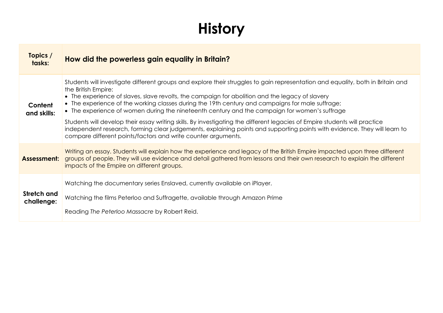# **History**

| Topics /<br>tasks:        | How did the powerless gain equality in Britain?                                                                                                                                                                                                                                                                                                                                                                                                                |
|---------------------------|----------------------------------------------------------------------------------------------------------------------------------------------------------------------------------------------------------------------------------------------------------------------------------------------------------------------------------------------------------------------------------------------------------------------------------------------------------------|
| Content<br>and skills:    | Students will investigate different groups and explore their struggles to gain representation and equality, both in Britain and<br>the British Empire:<br>• The experience of slaves, slave revolts, the campaign for abolition and the legacy of slavery<br>• The experience of the working classes during the 19th century and campaigns for male suffrage;<br>• The experience of women during the nineteenth century and the campaign for women's suffrage |
|                           | Students will develop their essay writing skills. By investigating the different legacies of Empire students will practice<br>independent research, forming clear judgements, explaining points and supporting points with evidence. They will learn to<br>compare different points/factors and write counter arguments.                                                                                                                                       |
| Assessment:               | Writing an essay. Students will explain how the experience and legacy of the British Empire impacted upon three different<br>groups of people. They will use evidence and detail gathered from lessons and their own research to explain the different<br>impacts of the Empire on different groups.                                                                                                                                                           |
| Stretch and<br>challenge: | Watching the documentary series Enslaved, currently available on iPlayer.                                                                                                                                                                                                                                                                                                                                                                                      |
|                           | Watching the films Peterloo and Suffragette, available through Amazon Prime                                                                                                                                                                                                                                                                                                                                                                                    |
|                           | Reading The Peterloo Massacre by Robert Reid.                                                                                                                                                                                                                                                                                                                                                                                                                  |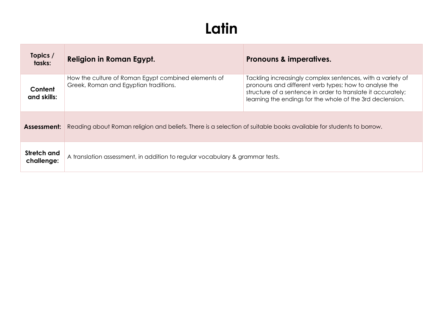# **Latin**

| Topics /<br>tasks:        | <b>Religion in Roman Egypt.</b>                                                                                    | Pronouns & imperatives.                                                                                                                                                                                                                          |
|---------------------------|--------------------------------------------------------------------------------------------------------------------|--------------------------------------------------------------------------------------------------------------------------------------------------------------------------------------------------------------------------------------------------|
| Content<br>and skills:    | How the culture of Roman Egypt combined elements of<br>Greek, Roman and Egyptian traditions.                       | Tackling increasingly complex sentences, with a variety of<br>pronouns and different verb types; how to analyse the<br>structure of a sentence in order to translate it accurately;<br>learning the endings for the whole of the 3rd declension. |
| Assessment:               | Reading about Roman religion and beliefs. There is a selection of suitable books available for students to borrow. |                                                                                                                                                                                                                                                  |
| Stretch and<br>challenge: | A translation assessment, in addition to regular vocabulary & grammar tests.                                       |                                                                                                                                                                                                                                                  |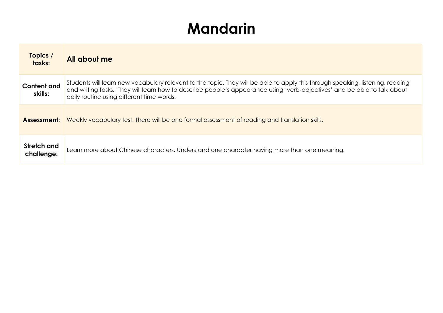## **Mandarin**

| Topics /<br>tasks:            | All about me                                                                                                                                                                                                                                                                                            |
|-------------------------------|---------------------------------------------------------------------------------------------------------------------------------------------------------------------------------------------------------------------------------------------------------------------------------------------------------|
| <b>Content and</b><br>skills: | Students will learn new vocabulary relevant to the topic. They will be able to apply this through speaking, listening, reading<br>and writing tasks. They will learn how to describe people's appearance using 'verb-adjectives' and be able to talk about<br>daily routine using different time words. |
| Assessment:                   | Weekly vocabulary test. There will be one formal assessment of reading and translation skills.                                                                                                                                                                                                          |
| Stretch and<br>challenge:     | Learn more about Chinese characters. Understand one character having more than one meaning.                                                                                                                                                                                                             |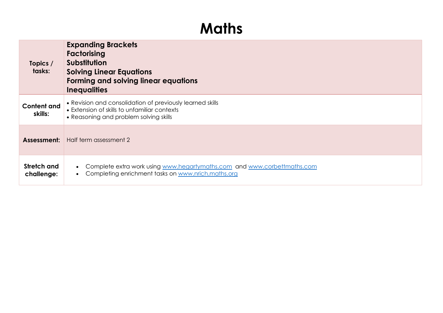#### **Maths**

| Topics /<br>tasks:            | <b>Expanding Brackets</b><br>Factorising<br>Substitution<br><b>Solving Linear Equations</b><br>Forming and solving linear equations<br><b>Inequalities</b> |
|-------------------------------|------------------------------------------------------------------------------------------------------------------------------------------------------------|
| <b>Content and</b><br>skills: | • Revision and consolidation of previously learned skills<br>• Extension of skills to unfamiliar contexts<br>• Reasoning and problem solving skills        |
| Assessment:                   | Half term assessment 2                                                                                                                                     |
| Stretch and<br>challenge:     | Complete extra work using www.hegartymaths.com and www.corbettmaths.com<br>Completing enrichment tasks on www.nrich.maths.org                              |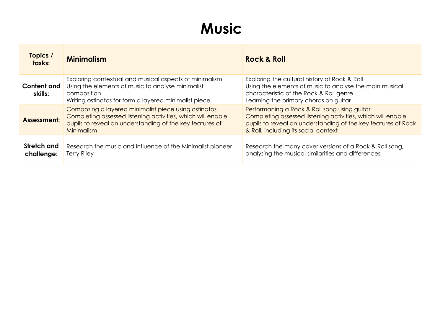#### **Music**

| Topics /<br>tasks:            | <b>Minimalism</b>                                                                                                                                                                             | <b>Rock &amp; Roll</b>                                                                                                                                                                                               |
|-------------------------------|-----------------------------------------------------------------------------------------------------------------------------------------------------------------------------------------------|----------------------------------------------------------------------------------------------------------------------------------------------------------------------------------------------------------------------|
| <b>Content and</b><br>skills: | Exploring contextual and musical aspects of minimalism<br>Using the elements of music to analyse minimalist<br>composition<br>Writing ostinatos for form a layered minimalist piece           | Exploring the cultural history of Rock & Roll<br>Using the elements of music to analyse the main musical<br>characteristic of the Rock & Roll genre<br>Learning the primary chords on guitar                         |
| Assessment:                   | Composing a layered minimalist piece using ostinatos<br>Completing assessed listening activities, which will enable<br>pupils to reveal an understanding of the key features of<br>Minimalism | Performaning a Rock & Roll song using guitar<br>Completing assessed listening activities, which will enable<br>pupils to reveal an understanding of the key features of Rock<br>& Roll, including its social context |
| Stretch and<br>challenge:     | Research the music and influence of the Minimalist pioneer<br><b>Terry Riley</b>                                                                                                              | Research the many cover versions of a Rock & Roll song,<br>analysing the musical similarities and differences                                                                                                        |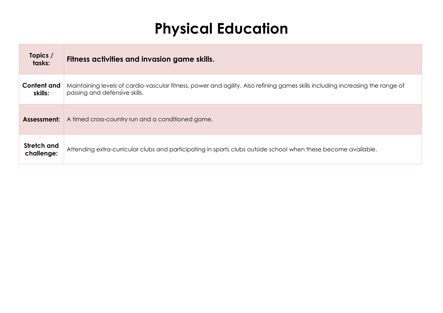## **Physical Education**

| Topics /<br>tasks:            | Fitness activities and invasion game skills.                                                                                                                    |
|-------------------------------|-----------------------------------------------------------------------------------------------------------------------------------------------------------------|
| <b>Content and</b><br>skills: | Maintaining levels of cardio-vascular fitness, power and agility. Also refining games skills including increasing the range of<br>passing and defensive skills. |
| Assessment:                   | A timed cross-country run and a conditioned game.                                                                                                               |
| Stretch and<br>challenge:     | Attending extra-curricular clubs and participating in sports clubs outside school when these become available.                                                  |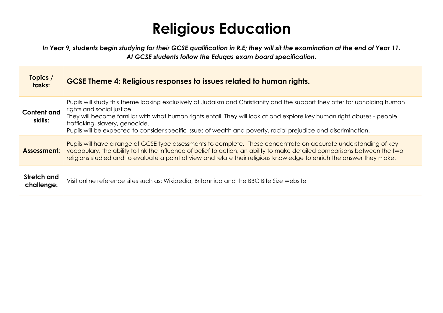# **Religious Education**

*In Year 9, students begin studying for their GCSE qualification in R.E; they will sit the examination at the end of Year 11. At GCSE students follow the Eduqas exam board specification.*

| Topics /<br>tasks:            | GCSE Theme 4: Religious responses to issues related to human rights.                                                                                                                                                                                                                                                                                                                                                                      |
|-------------------------------|-------------------------------------------------------------------------------------------------------------------------------------------------------------------------------------------------------------------------------------------------------------------------------------------------------------------------------------------------------------------------------------------------------------------------------------------|
| <b>Content and</b><br>skills: | Pupils will study this theme looking exclusively at Judaism and Christianity and the support they offer for upholding human<br>rights and social justice.<br>They will become familiar with what human rights entail. They will look at and explore key human right abuses - people<br>trafficking, slavery, genocide.<br>Pupils will be expected to consider specific issues of wealth and poverty, racial prejudice and discrimination. |
| Assessment:                   | Pupils will have a range of GCSE type assessments to complete. These concentrate on accurate understanding of key<br>vocabulary, the ability to link the influence of belief to action, an ability to make detailed comparisons between the two<br>religions studied and to evaluate a point of view and relate their religious knowledge to enrich the answer they make.                                                                 |
| Stretch and<br>challenge:     | Visit online reference sites such as: Wikipedia, Britannica and the BBC Bite Size website                                                                                                                                                                                                                                                                                                                                                 |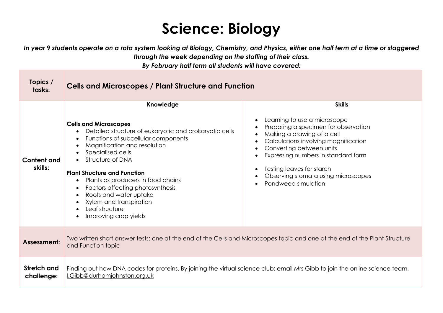# **Science: Biology**

*In year 9 students operate on a rota system looking at Biology, Chemistry, and Physics, either one half term at a time or staggered through the week depending on the staffing of their class.*

*By February half term all students will have covered:*

| Topics /<br>tasks:        | <b>Cells and Microscopes / Plant Structure and Function</b>                                                                                                                                                                                                                                                                                                                                                                                                                              |                                                                                                                                                                                                                                                                                                                           |
|---------------------------|------------------------------------------------------------------------------------------------------------------------------------------------------------------------------------------------------------------------------------------------------------------------------------------------------------------------------------------------------------------------------------------------------------------------------------------------------------------------------------------|---------------------------------------------------------------------------------------------------------------------------------------------------------------------------------------------------------------------------------------------------------------------------------------------------------------------------|
| Content and<br>skills:    | Knowledge<br><b>Cells and Microscopes</b><br>Detailed structure of eukaryotic and prokaryotic cells<br>Functions of subcellular components<br>$\bullet$<br>Magnification and resolution<br>Specialised cells<br>Structure of DNA<br><b>Plant Structure and Function</b><br>Plants as producers in food chains<br>Factors affecting photosynthesis<br>$\bullet$<br>Roots and water uptake<br>$\bullet$<br>Xylem and transpiration<br>Leaf structure<br>$\bullet$<br>Improving crop yields | <b>Skills</b><br>Learning to use a microscope<br>Preparing a specimen for observation<br>Making a drawing of a cell<br>Calculations involving magnification<br>Converting between units<br>Expressing numbers in standard form<br>Testing leaves for starch<br>Observing stomata using microscopes<br>Pondweed simulation |
| Assessment:               | Two written short answer tests: one at the end of the Cells and Microscopes topic and one at the end of the Plant Structure<br>and Function topic                                                                                                                                                                                                                                                                                                                                        |                                                                                                                                                                                                                                                                                                                           |
| Stretch and<br>challenge: | Finding out how DNA codes for proteins. By joining the virtual science club: email Mrs Gibb to join the online science team.<br>I.Gibb@durhamjohnston.org.uk                                                                                                                                                                                                                                                                                                                             |                                                                                                                                                                                                                                                                                                                           |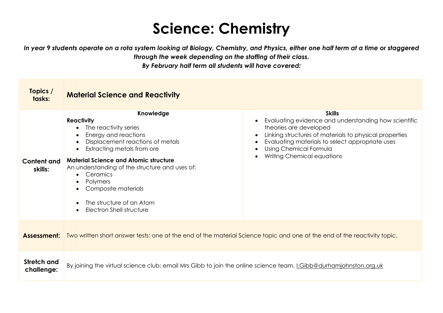#### **Science: Chemistry**

*In year 9 students operate on a rota system looking at Biology, Chemistry, and Physics, either one half term at a time or staggered through the week depending on the staffing of their class.*

*By February half term all students will have covered:*

| Topics /<br>tasks:            | <b>Material Science and Reactivity</b>                                                                                                                                                                                                                                                                                                                                                                                      |                                                                                                                                                                                                                                                                      |
|-------------------------------|-----------------------------------------------------------------------------------------------------------------------------------------------------------------------------------------------------------------------------------------------------------------------------------------------------------------------------------------------------------------------------------------------------------------------------|----------------------------------------------------------------------------------------------------------------------------------------------------------------------------------------------------------------------------------------------------------------------|
| <b>Content and</b><br>skills: | Knowledge<br><b>Reactivity</b><br>The reactivity series<br>Energy and reactions<br>$\bullet$<br>Displacement reactions of metals<br>$\bullet$<br>Extracting metals from ore<br>$\bullet$<br><b>Material Science and Atomic structure</b><br>An understanding of the structure and uses of:<br>Ceramics<br>Polymers<br>Composite materials<br>The structure of an Atom<br>$\bullet$<br>Electron Shell structure<br>$\bullet$ | <b>Skills</b><br>Evaluating evidence and understanding how scientific<br>theories are developed<br>Linking structures of materials to physical properties<br>Evaluating materials to select appropriate uses<br>Using Chemical Formula<br>Writing Chemical equations |
| Assessment:                   | Two written short answer tests: one at the end of the material Science topic and one at the end of the reactivity topic.                                                                                                                                                                                                                                                                                                    |                                                                                                                                                                                                                                                                      |
| Stretch and<br>challenge:     | By joining the virtual science club: email Mrs Gibb to join the online science team. I.Gibb@durhamjohnston.org.uk                                                                                                                                                                                                                                                                                                           |                                                                                                                                                                                                                                                                      |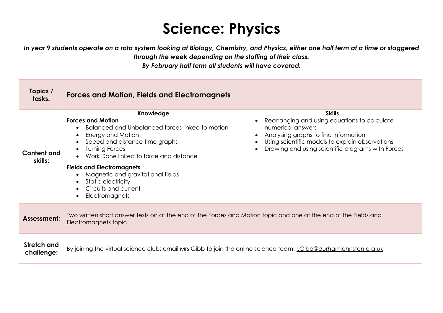### **Science: Physics**

*In year 9 students operate on a rota system looking at Biology, Chemistry, and Physics, either one half term at a time or staggered through the week depending on the staffing of their class.*

*By February half term all students will have covered:*

| Topics /<br>tasks:            | Forces and Motion, Fields and Electromagnets                                                                                                                                                                                                                                                                                                                                                                                              |                                                                                                                                                                                                                                    |
|-------------------------------|-------------------------------------------------------------------------------------------------------------------------------------------------------------------------------------------------------------------------------------------------------------------------------------------------------------------------------------------------------------------------------------------------------------------------------------------|------------------------------------------------------------------------------------------------------------------------------------------------------------------------------------------------------------------------------------|
| <b>Content and</b><br>skills: | Knowledge<br><b>Forces and Motion</b><br>Balanced and Unbalanced forces linked to motion<br>$\bullet$<br>Energy and Motion<br>$\bullet$<br>Speed and distance time graphs<br>$\bullet$<br><b>Turning Forces</b><br>$\bullet$<br>Work Done linked to force and distance<br><b>Fields and Electromagnets</b><br>Magnetic and gravitational fields<br>Static electricity<br>$\bullet$<br>Circuits and current<br>Electromagnets<br>$\bullet$ | <b>Skills</b><br>Rearranging and using equations to calculate<br>numerical answers<br>Analysing graphs to find information<br>Using scientific models to explain observations<br>Drawing and using scientific diagrams with Forces |
| Assessment:                   | Two written short answer tests on at the end of the Forces and Motion topic and one at the end of the Fields and<br>Electromagnets topic.                                                                                                                                                                                                                                                                                                 |                                                                                                                                                                                                                                    |
| Stretch and<br>challenge:     | By joining the virtual science club: email Mrs Gibb to join the online science team. <i>I.Gibb@durhamjohnston.org.uk</i>                                                                                                                                                                                                                                                                                                                  |                                                                                                                                                                                                                                    |